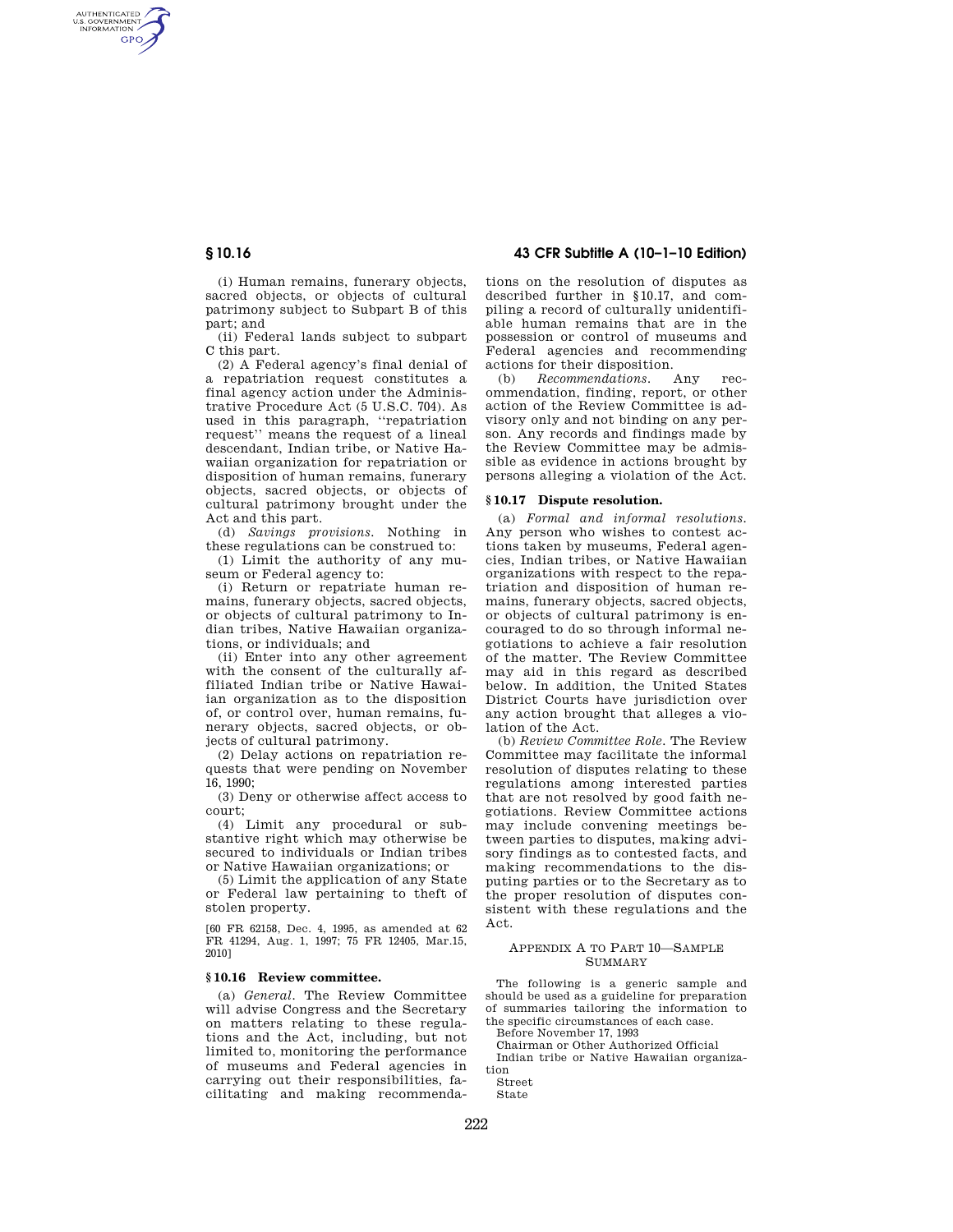AUTHENTICATED<br>U.S. GOVERNMENT<br>INFORMATION GPO

> (i) Human remains, funerary objects, sacred objects, or objects of cultural patrimony subject to Subpart B of this part; and

(ii) Federal lands subject to subpart C this part.

(2) A Federal agency's final denial of a repatriation request constitutes a final agency action under the Administrative Procedure Act (5 U.S.C. 704). As used in this paragraph, ''repatriation request'' means the request of a lineal descendant, Indian tribe, or Native Hawaiian organization for repatriation or disposition of human remains, funerary objects, sacred objects, or objects of cultural patrimony brought under the Act and this part.

(d) *Savings provisions.* Nothing in these regulations can be construed to:

(1) Limit the authority of any museum or Federal agency to:

(i) Return or repatriate human remains, funerary objects, sacred objects, or objects of cultural patrimony to Indian tribes, Native Hawaiian organizations, or individuals; and

(ii) Enter into any other agreement with the consent of the culturally affiliated Indian tribe or Native Hawaiian organization as to the disposition of, or control over, human remains, funerary objects, sacred objects, or objects of cultural patrimony.

(2) Delay actions on repatriation requests that were pending on November 16, 1990;

(3) Deny or otherwise affect access to court;

(4) Limit any procedural or substantive right which may otherwise be secured to individuals or Indian tribes or Native Hawaiian organizations; or

(5) Limit the application of any State or Federal law pertaining to theft of stolen property.

[60 FR 62158, Dec. 4, 1995, as amended at 62 FR 41294, Aug. 1, 1997; 75 FR 12405, Mar.15, 2010]

# **§ 10.16 Review committee.**

(a) *General.* The Review Committee will advise Congress and the Secretary on matters relating to these regulations and the Act, including, but not limited to, monitoring the performance of museums and Federal agencies in carrying out their responsibilities, facilitating and making recommenda-

**§ 10.16 43 CFR Subtitle A (10–1–10 Edition)** 

tions on the resolution of disputes as described further in §10.17, and compiling a record of culturally unidentifiable human remains that are in the possession or control of museums and Federal agencies and recommending actions for their disposition.

(b) *Recommendations.* Any recommendation, finding, report, or other action of the Review Committee is advisory only and not binding on any person. Any records and findings made by the Review Committee may be admissible as evidence in actions brought by persons alleging a violation of the Act.

### **§ 10.17 Dispute resolution.**

(a) *Formal and informal resolutions.*  Any person who wishes to contest actions taken by museums, Federal agencies, Indian tribes, or Native Hawaiian organizations with respect to the repatriation and disposition of human remains, funerary objects, sacred objects, or objects of cultural patrimony is encouraged to do so through informal negotiations to achieve a fair resolution of the matter. The Review Committee may aid in this regard as described below. In addition, the United States District Courts have jurisdiction over any action brought that alleges a violation of the Act.

(b) *Review Committee Role.* The Review Committee may facilitate the informal resolution of disputes relating to these regulations among interested parties that are not resolved by good faith negotiations. Review Committee actions may include convening meetings between parties to disputes, making advisory findings as to contested facts, and making recommendations to the disputing parties or to the Secretary as to the proper resolution of disputes consistent with these regulations and the Act.

## APPENDIX A TO PART 10—SAMPLE SUMMARY

The following is a generic sample and should be used as a guideline for preparation of summaries tailoring the information to the specific circumstances of each case.

Before November 17, 1993

Chairman or Other Authorized Official

Indian tribe or Native Hawaiian organization

Street State